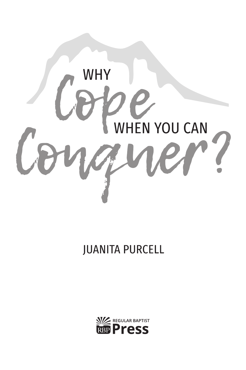

### **JUANITA PURCELL**

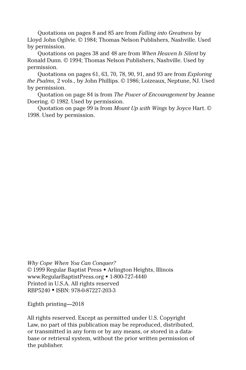Quotations on pages 8 and 85 are from *Falling into Greatness* by Lloyd John Ogilvie. © 1984; Thomas Nelson Publishers, Nashville. Used by permission.

Quotations on pages 38 and 48 are from *When Heaven Is Silent* by Ronald Dunn. © 1994; Thomas Nelson Publishers, Nashville. Used by permission.

Quotations on pages 61, 63, 70, 78, 90, 91, and 93 are from *Exploring the Psalms,* 2 vols., by John Phillips. © 1986; Loizeaux, Neptune, NJ. Used by permission.

Quotation on page 84 is from *The Power of Encouragement* by Jeanne Doering. © 1982. Used by permission.

Quotation on page 99 is from *Mount Up with Wings* by Joyce Hart. © 1998. Used by permission.

*Why Cope When You Can Conquer?* © 1999 Regular Baptist Press • Arlington Heights, Illinois www.RegularBaptistPress.org • 1-800-727-4440 Printed in U.S.A. All rights reserved RBP5240 • ISBN: 978-0-87227-203-3

Eighth printing—2018

All rights reserved. Except as permitted under U.S. Copyright Law, no part of this publication may be reproduced, distributed, or transmitted in any form or by any means, or stored in a database or retrieval system, without the prior written permission of the publisher.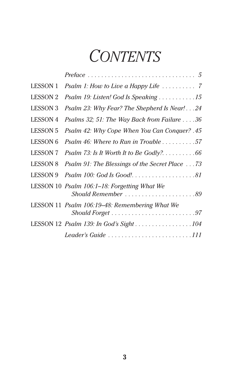# *Contents*

| <b>LESSON 1</b> |                                                                       |
|-----------------|-----------------------------------------------------------------------|
| <b>LESSON 2</b> | Psalm 19: Listen! God Is Speaking 15                                  |
| <b>LESSON 3</b> | Psalm 23: Why Fear? The Shepherd Is Near! 24                          |
| <b>LESSON 4</b> | <i>Psalms 32; 51: The Way Back from Failure <math>\dots</math> 36</i> |
| <b>LESSON 5</b> | Psalm 42: Why Cope When You Can Conquer? .45                          |
| <b>LESSON 6</b> | <i>Psalm 46: Where to Run in Trouble 57</i>                           |
| <b>LESSON 7</b> |                                                                       |
| <b>LESSON 8</b> | Psalm 91: The Blessings of the Secret Place 73                        |
| <b>LESSON 9</b> | Psalm 100: God Is Good!81                                             |
|                 | LESSON 10 Psalm 106:1-18: Forgetting What We                          |
|                 | LESSON 11 <i>Psalm 106:19–48: Remembering What We</i>                 |
|                 |                                                                       |
|                 | Leader's Guide 111                                                    |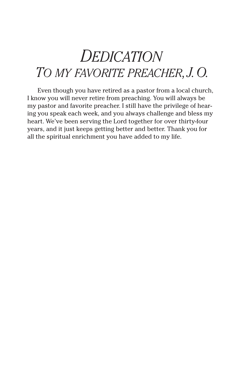## *Dedication To my favorite preacher, J. O.*

Even though you have retired as a pastor from a local church, I know you will never retire from preaching. You will always be my pastor and favorite preacher. I still have the privilege of hearing you speak each week, and you always challenge and bless my heart. We've been serving the Lord together for over thirty-four years, and it just keeps getting better and better. Thank you for all the spiritual enrichment you have added to my life.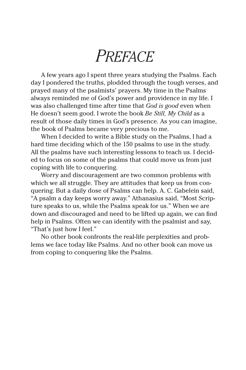## *Preface*

A few years ago I spent three years studying the Psalms. Each day I pondered the truths, plodded through the tough verses, and prayed many of the psalmists' prayers. My time in the Psalms always reminded me of God's power and providence in my life. I was also challenged time after time that *God is good* even when He doesn't seem good. I wrote the book *Be Still, My Child* as a result of those daily times in God's presence. As you can imagine, the book of Psalms became very precious to me.

When I decided to write a Bible study on the Psalms, I had a hard time deciding which of the 150 psalms to use in the study. All the psalms have such interesting lessons to teach us. I decided to focus on some of the psalms that could move us from just coping with life to conquering.

Worry and discouragement are two common problems with which we all struggle. They are attitudes that keep us from conquering. But a daily dose of Psalms can help. A. C. Gabelein said, "A psalm a day keeps worry away." Athanasius said, "Most Scripture speaks to us, while the Psalms speak for us." When we are down and discouraged and need to be lifted up again, we can find help in Psalms. Often we can identify with the psalmist and say, "That's just how I feel."

No other book confronts the real-life perplexities and problems we face today like Psalms. And no other book can move us from coping to conquering like the Psalms.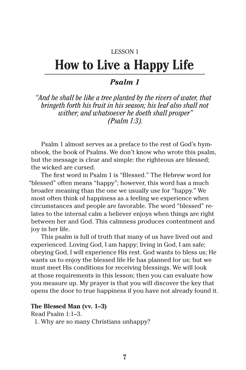### LESSON 1

### **How to Live a Happy Life**

### *Psalm 1*

*"And he shall be like a tree planted by the rivers of water, that bringeth forth his fruit in his season; his leaf also shall not wither; and whatsoever he doeth shall prosper" (Psalm 1:3).*

Psalm 1 almost serves as a preface to the rest of God's hymnbook, the book of Psalms. We don't know who wrote this psalm, but the message is clear and simple: the righteous are blessed; the wicked are cursed.

The first word in Psalm 1 is "Blessed." The Hebrew word for "blessed" often means "happy"; however, this word has a much broader meaning than the one we usually use for "happy." We most often think of happiness as a feeling we experience when circumstances and people are favorable. The word "blessed" relates to the internal calm a believer enjoys when things are right between her and God. This calmness produces contentment and joy in her life.

This psalm is full of truth that many of us have lived out and experienced. Loving God, I am happy; living in God, I am safe; obeying God, I will experience His rest. God wants to bless us; He wants us to enjoy the blessed life He has planned for us; but we must meet His conditions for receiving blessings. We will look at those requirements in this lesson; then you can evaluate how you measure up. My prayer is that you will discover the key that opens the door to true happiness if you have not already found it.

#### **The Blessed Man (vv. 1–3)**

Read Psalm 1:1–3.

1. Why are so many Christians unhappy?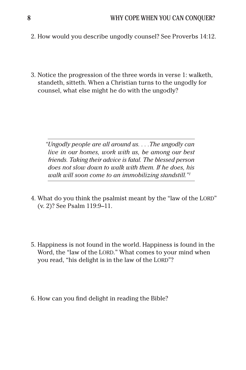- 2. How would you describe ungodly counsel? See Proverbs 14:12.
- 3. Notice the progression of the three words in verse 1: walketh, standeth, sitteth. When a Christian turns to the ungodly for counsel, what else might he do with the ungodly?

*"Ungodly people are all around us....The ungodly can live in our homes, work with us, be among our best friends. Taking their advice is fatal. The blessed person does not slow down to walk with them. If he does, his walk will soon come to an immobilizing standstill."1*

- 4. What do you think the psalmist meant by the "law of the LORD" (v. 2)? See Psalm 119:9–11.
- 5. Happiness is not found in the world. Happiness is found in the Word, the "law of the LORD." What comes to your mind when you read, "his delight is in the law of the LORD"?
- 6. How can you find delight in reading the Bible?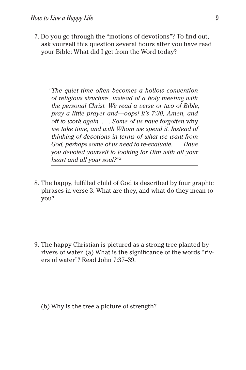7. Do you go through the "motions of devotions"? To find out, ask yourself this question several hours after you have read your Bible: What did I get from the Word today?

*"The quiet time often becomes a hollow convention of religious structure, instead of a holy meeting with the personal Christ. We read a verse or two of Bible, pray a little prayer and—oops! It's 7:30, Amen, and off to work again.... Some of us have forgotten* why *we take time, and with Whom we spend it. Instead of thinking of devotions in terms of what we want from God, perhaps some of us need to re-evaluate.... Have you devoted yourself to looking for Him with all your heart and all your soul?"2*

8. The happy, fulfilled child of God is described by four graphic phrases in verse 3. What are they, and what do they mean to you?

9. The happy Christian is pictured as a strong tree planted by rivers of water. (a) What is the significance of the words "rivers of water"? Read John 7:37–39.

(b) Why is the tree a picture of strength?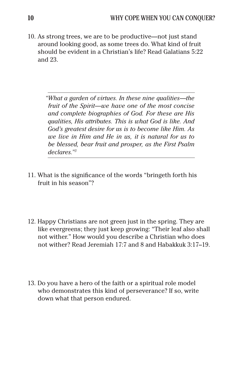10. As strong trees, we are to be productive—not just stand around looking good, as some trees do. What kind of fruit should be evident in a Christian's life? Read Galatians 5:22 and 23.

> *"What a garden of virtues. In these nine qualities—the fruit of the Spirit—we have one of the most concise and complete biographies of God. For these are His qualities, His attributes. This is what God is like. And God's greatest desire for us is to become like Him. As we live in Him and He in us, it is natural for us to be blessed, bear fruit and prosper, as the First Psalm declares."3*

- 11. What is the significance of the words "bringeth forth his fruit in his season"?
- 12. Happy Christians are not green just in the spring. They are like evergreens; they just keep growing: "Their leaf also shall not wither." How would you describe a Christian who does not wither? Read Jeremiah 17:7 and 8 and Habakkuk 3:17–19.
- 13. Do you have a hero of the faith or a spiritual role model who demonstrates this kind of perseverance? If so, write down what that person endured.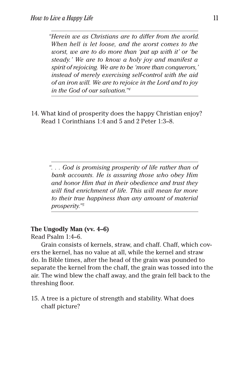*"Herein we as Christians are to differ from the world. When hell is let loose, and the worst comes to the worst, we are to do more than 'put up with it' or 'be steady.' We are to know a holy joy and manifest a spirit of rejoicing. We are to be 'more than conquerors,' instead of merely exercising self-control with the aid of an iron will. We are to rejoice in the Lord and to joy in the God of our salvation."4*

14. What kind of prosperity does the happy Christian enjoy? Read 1 Corinthians 1:4 and 5 and 2 Peter 1:3–8.

> *"... God is promising prosperity of life rather than of bank accounts. He is assuring those who obey Him and honor Him that in their obedience and trust they will find enrichment of life. This will mean far more to their true happiness than any amount of material prosperity."5*

### **The Ungodly Man (vv. 4–6)**

Read Psalm 1:4–6.

Grain consists of kernels, straw, and chaff. Chaff, which covers the kernel, has no value at all, while the kernel and straw do. In Bible times, after the head of the grain was pounded to separate the kernel from the chaff, the grain was tossed into the air. The wind blew the chaff away, and the grain fell back to the threshing floor.

15. A tree is a picture of strength and stability. What does chaff picture?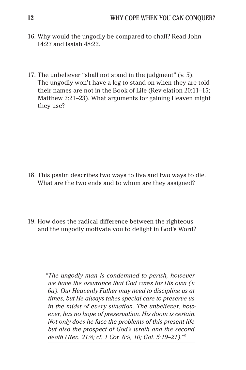- 16. Why would the ungodly be compared to chaff? Read John 14:27 and Isaiah 48:22.
- 17. The unbeliever "shall not stand in the judgment" (v. 5). The ungodly won't have a leg to stand on when they are told their names are not in the Book of Life (Rev-elation 20:11–15; Matthew 7:21–23). What arguments for gaining Heaven might they use?

- 18. This psalm describes two ways to live and two ways to die. What are the two ends and to whom are they assigned?
- 19. How does the radical difference between the righteous and the ungodly motivate you to delight in God's Word?

*"The ungodly man is condemned to perish, however we have the assurance that God cares for His own (v. 6a). Our Heavenly Father may need to discipline us at times, but He always takes special care to preserve us in the midst of every situation. The unbeliever, however, has no hope of preservation. His doom is certain. Not only does he face the problems of this present life but also the prospect of God's wrath and the second death (Rev. 21:8; cf. 1 Cor. 6:9, 10; Gal. 5:19–21)."6*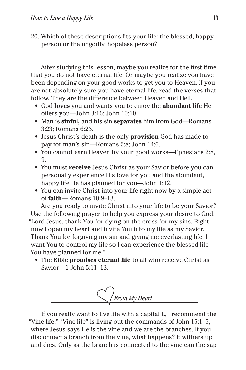20. Which of these descriptions fits your life: the blessed, happy person or the ungodly, hopeless person?

After studying this lesson, maybe you realize for the first time that you do not have eternal life. Or maybe you realize you have been depending on your good works to get you to Heaven. If you are not absolutely sure you have eternal life, read the verses that follow. They are the difference between Heaven and Hell.

- God **loves** you and wants you to enjoy the **abundant life** He offers you—John 3:16; John 10:10.
- Man is **sinful,** and his sin **separates** him from God—Romans 3:23; Romans 6:23.
- Jesus Christ's death is the only **provision** God has made to pay for man's sin—Romans 5:8; John 14:6.
- You cannot earn Heaven by your good works—Ephesians 2:8, 9.
- You must **receive** Jesus Christ as your Savior before you can personally experience His love for you and the abundant, happy life He has planned for you—John 1:12.
- You can invite Christ into your life right now by a simple act of **faith—**Romans 10:9–13.

Are you ready to invite Christ into your life to be your Savior? Use the following prayer to help you express your desire to God: "Lord Jesus, thank You for dying on the cross for my sins. Right now I open my heart and invite You into my life as my Savior. Thank You for forgiving my sin and giving me everlasting life. I want You to control my life so I can experience the blessed life You have planned for me."

• The Bible **promises eternal life** to all who receive Christ as Savior—1 John 5:11–13.



If you really want to live life with a capital L, I recommend the "Vine life." "Vine life" is living out the commands of John 15:1–5, where Jesus says He is the vine and we are the branches. If you disconnect a branch from the vine, what happens? It withers up and dies. Only as the branch is connected to the vine can the sap